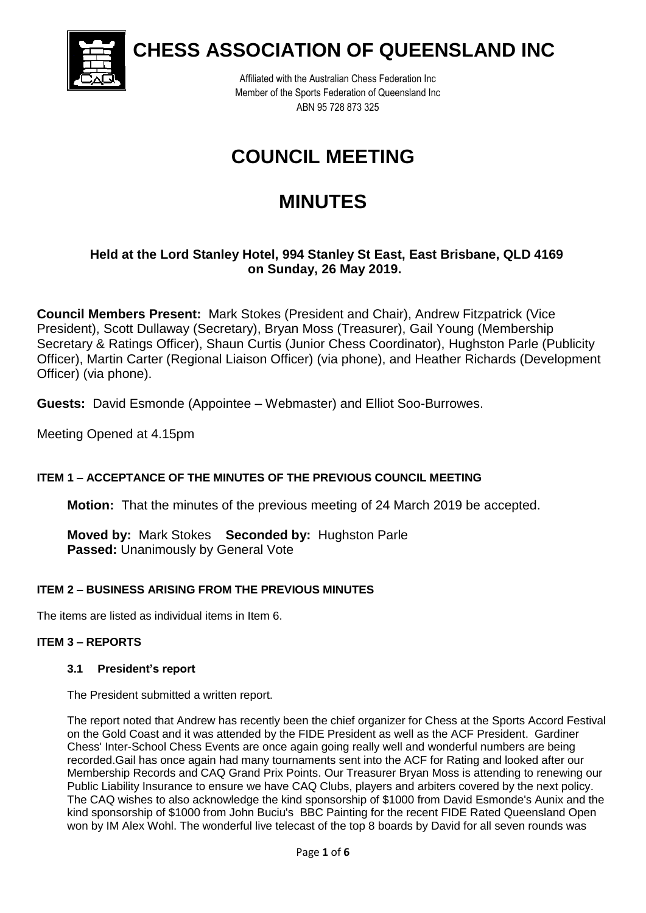

**CHESS ASSOCIATION OF QUEENSLAND INC**

Affiliated with the Australian Chess Federation Inc Member of the Sports Federation of Queensland Inc ABN 95 728 873 325

# **COUNCIL MEETING**

# **MINUTES**

# **Held at the Lord Stanley Hotel, 994 Stanley St East, East Brisbane, QLD 4169 on Sunday, 26 May 2019.**

**Council Members Present:** Mark Stokes (President and Chair), Andrew Fitzpatrick (Vice President), Scott Dullaway (Secretary), Bryan Moss (Treasurer), Gail Young (Membership Secretary & Ratings Officer), Shaun Curtis (Junior Chess Coordinator), Hughston Parle (Publicity Officer), Martin Carter (Regional Liaison Officer) (via phone), and Heather Richards (Development Officer) (via phone).

**Guests:** David Esmonde (Appointee – Webmaster) and Elliot Soo-Burrowes.

Meeting Opened at 4.15pm

# **ITEM 1 – ACCEPTANCE OF THE MINUTES OF THE PREVIOUS COUNCIL MEETING**

**Motion:** That the minutes of the previous meeting of 24 March 2019 be accepted.

**Moved by:** Mark Stokes **Seconded by:** Hughston Parle **Passed:** Unanimously by General Vote

# **ITEM 2 – BUSINESS ARISING FROM THE PREVIOUS MINUTES**

The items are listed as individual items in Item 6.

#### **ITEM 3 – REPORTS**

#### **3.1 President's report**

The President submitted a written report.

The report noted that Andrew has recently been the chief organizer for Chess at the Sports Accord Festival on the Gold Coast and it was attended by the FIDE President as well as the ACF President. Gardiner Chess' Inter-School Chess Events are once again going really well and wonderful numbers are being recorded.Gail has once again had many tournaments sent into the ACF for Rating and looked after our Membership Records and CAQ Grand Prix Points. Our Treasurer Bryan Moss is attending to renewing our Public Liability Insurance to ensure we have CAQ Clubs, players and arbiters covered by the next policy. The CAQ wishes to also acknowledge the kind sponsorship of \$1000 from David Esmonde's Aunix and the kind sponsorship of \$1000 from John Buciu's BBC Painting for the recent FIDE Rated Queensland Open won by IM Alex Wohl. The wonderful live telecast of the top 8 boards by David for all seven rounds was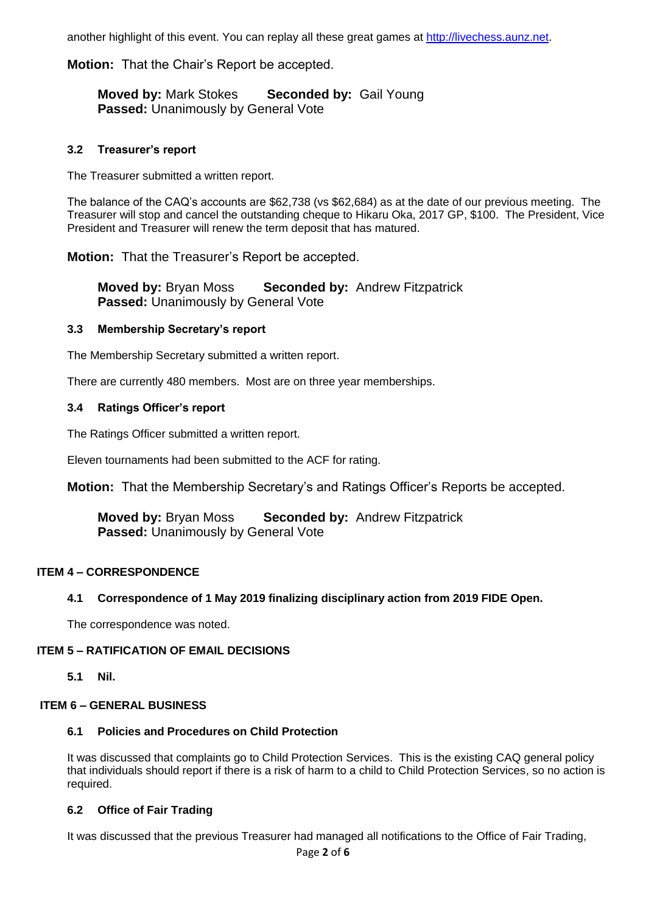another highlight of this event. You can replay all these great games at [http://livechess.aunz.net.](http://livechess.aunz.net/)

#### **Motion:** That the Chair's Report be accepted.

**Moved by:** Mark Stokes **Seconded by:** Gail Young **Passed:** Unanimously by General Vote

#### **3.2 Treasurer's report**

The Treasurer submitted a written report.

The balance of the CAQ's accounts are \$62,738 (vs \$62,684) as at the date of our previous meeting. The Treasurer will stop and cancel the outstanding cheque to Hikaru Oka, 2017 GP, \$100. The President, Vice President and Treasurer will renew the term deposit that has matured.

**Motion:** That the Treasurer's Report be accepted.

**Moved by:** Bryan Moss **Seconded by:** Andrew Fitzpatrick **Passed:** Unanimously by General Vote

#### **3.3 Membership Secretary's report**

The Membership Secretary submitted a written report.

There are currently 480 members. Most are on three year memberships.

#### **3.4 Ratings Officer's report**

The Ratings Officer submitted a written report.

Eleven tournaments had been submitted to the ACF for rating.

**Motion:** That the Membership Secretary's and Ratings Officer's Reports be accepted.

**Moved by:** Bryan Moss **Seconded by:** Andrew Fitzpatrick **Passed:** Unanimously by General Vote

#### **ITEM 4 – CORRESPONDENCE**

#### **4.1 Correspondence of 1 May 2019 finalizing disciplinary action from 2019 FIDE Open.**

The correspondence was noted.

#### **ITEM 5 – RATIFICATION OF EMAIL DECISIONS**

**5.1 Nil.**

#### **ITEM 6 – GENERAL BUSINESS**

#### **6.1 Policies and Procedures on Child Protection**

It was discussed that complaints go to Child Protection Services. This is the existing CAQ general policy that individuals should report if there is a risk of harm to a child to Child Protection Services, so no action is required.

#### **6.2 Office of Fair Trading**

It was discussed that the previous Treasurer had managed all notifications to the Office of Fair Trading,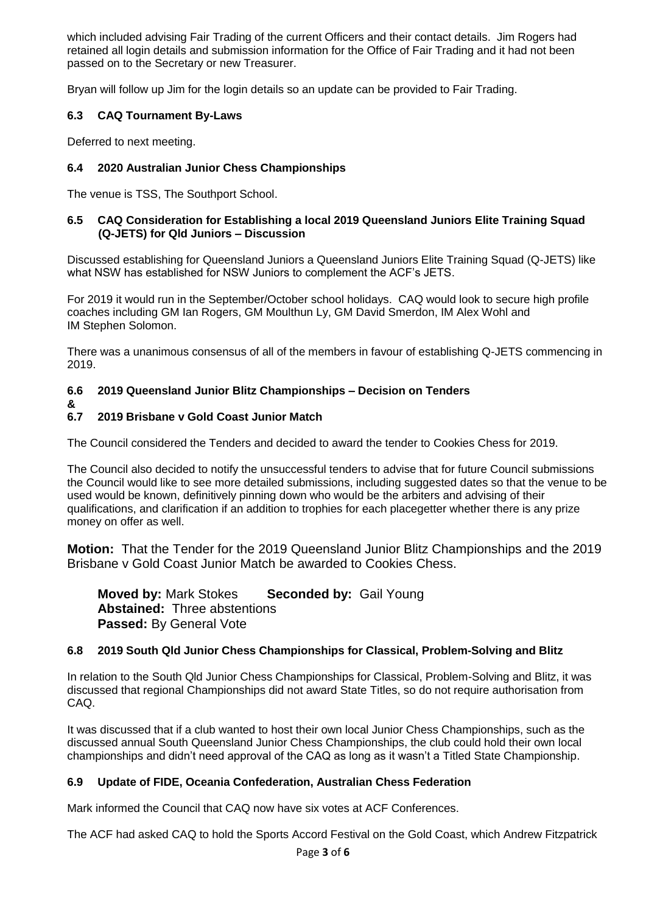which included advising Fair Trading of the current Officers and their contact details. Jim Rogers had retained all login details and submission information for the Office of Fair Trading and it had not been passed on to the Secretary or new Treasurer.

Bryan will follow up Jim for the login details so an update can be provided to Fair Trading.

## **6.3 CAQ Tournament By-Laws**

Deferred to next meeting.

# **6.4 2020 Australian Junior Chess Championships**

The venue is TSS, The Southport School.

#### **6.5 CAQ Consideration for Establishing a local 2019 Queensland Juniors Elite Training Squad (Q-JETS) for Qld Juniors – Discussion**

Discussed establishing for Queensland Juniors a Queensland Juniors Elite Training Squad (Q-JETS) like what NSW has established for NSW Juniors to complement the ACF's JETS.

For 2019 it would run in the September/October school holidays. CAQ would look to secure high profile coaches including GM Ian Rogers, GM Moulthun Ly, GM David Smerdon, IM Alex Wohl and IM Stephen Solomon.

There was a unanimous consensus of all of the members in favour of establishing Q-JETS commencing in 2019.

# **6.6 2019 Queensland Junior Blitz Championships – Decision on Tenders**

**&**

#### **6.7 2019 Brisbane v Gold Coast Junior Match**

The Council considered the Tenders and decided to award the tender to Cookies Chess for 2019.

The Council also decided to notify the unsuccessful tenders to advise that for future Council submissions the Council would like to see more detailed submissions, including suggested dates so that the venue to be used would be known, definitively pinning down who would be the arbiters and advising of their qualifications, and clarification if an addition to trophies for each placegetter whether there is any prize money on offer as well.

**Motion:** That the Tender for the 2019 Queensland Junior Blitz Championships and the 2019 Brisbane v Gold Coast Junior Match be awarded to Cookies Chess.

**Moved by:** Mark Stokes **Seconded by:** Gail Young **Abstained:** Three abstentions **Passed: By General Vote** 

#### **6.8 2019 South Qld Junior Chess Championships for Classical, Problem-Solving and Blitz**

In relation to the South Qld Junior Chess Championships for Classical, Problem-Solving and Blitz, it was discussed that regional Championships did not award State Titles, so do not require authorisation from CAQ.

It was discussed that if a club wanted to host their own local Junior Chess Championships, such as the discussed annual South Queensland Junior Chess Championships, the club could hold their own local championships and didn't need approval of the CAQ as long as it wasn't a Titled State Championship.

# **6.9 Update of FIDE, Oceania Confederation, Australian Chess Federation**

Mark informed the Council that CAQ now have six votes at ACF Conferences.

The ACF had asked CAQ to hold the Sports Accord Festival on the Gold Coast, which Andrew Fitzpatrick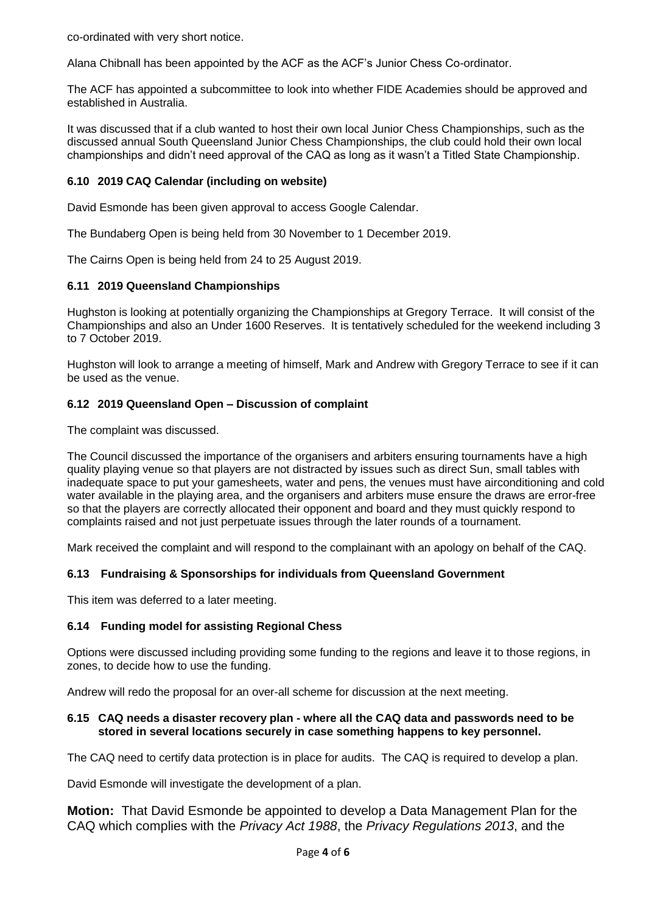co-ordinated with very short notice.

Alana Chibnall has been appointed by the ACF as the ACF's Junior Chess Co-ordinator.

The ACF has appointed a subcommittee to look into whether FIDE Academies should be approved and established in Australia.

It was discussed that if a club wanted to host their own local Junior Chess Championships, such as the discussed annual South Queensland Junior Chess Championships, the club could hold their own local championships and didn't need approval of the CAQ as long as it wasn't a Titled State Championship.

### **6.10 2019 CAQ Calendar (including on website)**

David Esmonde has been given approval to access Google Calendar.

The Bundaberg Open is being held from 30 November to 1 December 2019.

The Cairns Open is being held from 24 to 25 August 2019.

#### **6.11 2019 Queensland Championships**

Hughston is looking at potentially organizing the Championships at Gregory Terrace. It will consist of the Championships and also an Under 1600 Reserves. It is tentatively scheduled for the weekend including 3 to 7 October 2019.

Hughston will look to arrange a meeting of himself, Mark and Andrew with Gregory Terrace to see if it can be used as the venue.

#### **6.12 2019 Queensland Open – Discussion of complaint**

The complaint was discussed.

The Council discussed the importance of the organisers and arbiters ensuring tournaments have a high quality playing venue so that players are not distracted by issues such as direct Sun, small tables with inadequate space to put your gamesheets, water and pens, the venues must have airconditioning and cold water available in the playing area, and the organisers and arbiters muse ensure the draws are error-free so that the players are correctly allocated their opponent and board and they must quickly respond to complaints raised and not just perpetuate issues through the later rounds of a tournament.

Mark received the complaint and will respond to the complainant with an apology on behalf of the CAQ.

#### **6.13 Fundraising & Sponsorships for individuals from Queensland Government**

This item was deferred to a later meeting.

#### **6.14 Funding model for assisting Regional Chess**

Options were discussed including providing some funding to the regions and leave it to those regions, in zones, to decide how to use the funding.

Andrew will redo the proposal for an over-all scheme for discussion at the next meeting.

#### **6.15 CAQ needs a disaster recovery plan - where all the CAQ data and passwords need to be stored in several locations securely in case something happens to key personnel.**

The CAQ need to certify data protection is in place for audits. The CAQ is required to develop a plan.

David Esmonde will investigate the development of a plan.

**Motion:** That David Esmonde be appointed to develop a Data Management Plan for the CAQ which complies with the *Privacy Act 1988*, the *Privacy Regulations 2013*, and the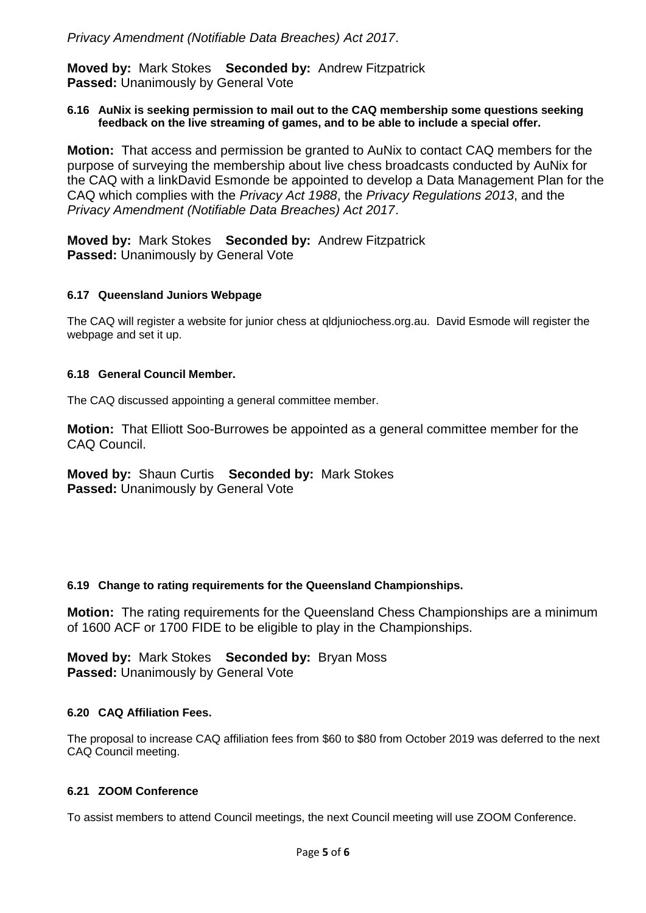**Moved by:** Mark Stokes **Seconded by:** Andrew Fitzpatrick **Passed:** Unanimously by General Vote

#### **6.16 AuNix is seeking permission to mail out to the CAQ membership some questions seeking feedback on the live streaming of games, and to be able to include a special offer.**

**Motion:** That access and permission be granted to AuNix to contact CAQ members for the purpose of surveying the membership about live chess broadcasts conducted by AuNix for the CAQ with a linkDavid Esmonde be appointed to develop a Data Management Plan for the CAQ which complies with the *Privacy Act 1988*, the *Privacy Regulations 2013*, and the *Privacy Amendment (Notifiable Data Breaches) Act 2017*.

**Moved by:** Mark Stokes **Seconded by:** Andrew Fitzpatrick **Passed: Unanimously by General Vote** 

#### **6.17 Queensland Juniors Webpage**

The CAQ will register a website for junior chess at qldjuniochess.org.au. David Esmode will register the webpage and set it up.

#### **6.18 General Council Member.**

The CAQ discussed appointing a general committee member.

**Motion:** That Elliott Soo-Burrowes be appointed as a general committee member for the CAQ Council.

#### **Moved by:** Shaun Curtis **Seconded by:** Mark Stokes **Passed:** Unanimously by General Vote

#### **6.19 Change to rating requirements for the Queensland Championships.**

**Motion:** The rating requirements for the Queensland Chess Championships are a minimum of 1600 ACF or 1700 FIDE to be eligible to play in the Championships.

**Moved by:** Mark Stokes **Seconded by:** Bryan Moss **Passed:** Unanimously by General Vote

#### **6.20 CAQ Affiliation Fees.**

The proposal to increase CAQ affiliation fees from \$60 to \$80 from October 2019 was deferred to the next CAQ Council meeting.

#### **6.21 ZOOM Conference**

To assist members to attend Council meetings, the next Council meeting will use ZOOM Conference.